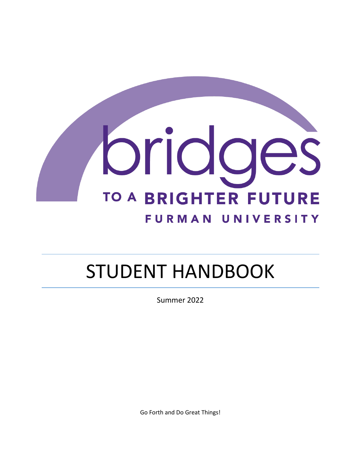

# STUDENT HANDBOOK

Summer 2022

Go Forth and Do Great Things!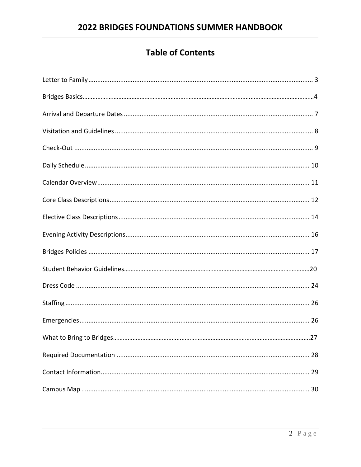# **Table of Contents**

| 28 |
|----|
|    |
|    |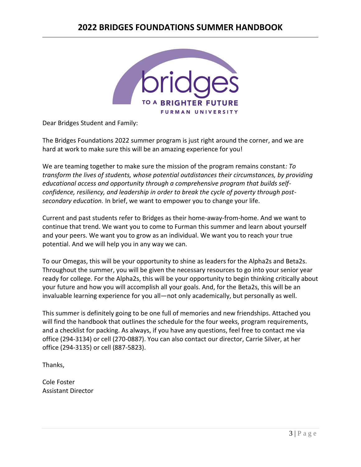# **2022 BRIDGES FOUNDATIONS SUMMER HANDBOOK**



Dear Bridges Student and Family:

The Bridges Foundations 2022 summer program is just right around the corner, and we are hard at work to make sure this will be an amazing experience for you!

We are teaming together to make sure the mission of the program remains constant*: To transform the lives of students, whose potential outdistances their circumstances, by providing educational access and opportunity through a comprehensive program that builds selfconfidence, resiliency, and leadership in order to break the cycle of poverty through postsecondary education.* In brief, we want to empower you to change your life.

Current and past students refer to Bridges as their home-away-from-home. And we want to continue that trend. We want you to come to Furman this summer and learn about yourself and your peers. We want you to grow as an individual. We want you to reach your true potential. And we will help you in any way we can.

To our Omegas, this will be your opportunity to shine as leaders for the Alpha2s and Beta2s. Throughout the summer, you will be given the necessary resources to go into your senior year ready for college. For the Alpha2s, this will be your opportunity to begin thinking critically about your future and how you will accomplish all your goals. And, for the Beta2s, this will be an invaluable learning experience for you all—not only academically, but personally as well.

This summer is definitely going to be one full of memories and new friendships. Attached you will find the handbook that outlines the schedule for the four weeks, program requirements, and a checklist for packing. As always, if you have any questions, feel free to contact me via office (294-3134) or cell (270-0887). You can also contact our director, Carrie Silver, at her office (294-3135) or cell (887-5823).

Thanks,

Cole Foster Assistant Director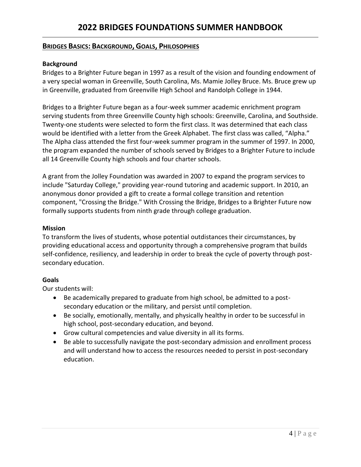## **BRIDGES BASICS: BACKGROUND, GOALS, PHILOSOPHIES**

#### **Background**

Bridges to a Brighter Future began in 1997 as a result of the vision and founding endowment of a very special woman in Greenville, South Carolina, Ms. Mamie Jolley Bruce. Ms. Bruce grew up in Greenville, graduated from Greenville High School and Randolph College in 1944.

Bridges to a Brighter Future began as a four-week summer academic enrichment program serving students from three Greenville County high schools: Greenville, Carolina, and Southside. Twenty-one students were selected to form the first class. It was determined that each class would be identified with a letter from the Greek Alphabet. The first class was called, "Alpha." The Alpha class attended the first four-week summer program in the summer of 1997. In 2000, the program expanded the number of schools served by Bridges to a Brighter Future to include all 14 Greenville County high schools and four charter schools.

A grant from the Jolley Foundation was awarded in 2007 to expand the program services to include "Saturday College," providing year-round tutoring and academic support. In 2010, an anonymous donor provided a gift to create a formal college transition and retention component, "Crossing the Bridge." With Crossing the Bridge, Bridges to a Brighter Future now formally supports students from ninth grade through college graduation.

#### **Mission**

To transform the lives of students, whose potential outdistances their circumstances, by providing educational access and opportunity through a comprehensive program that builds self-confidence, resiliency, and leadership in order to break the cycle of poverty through postsecondary education.

#### **Goals**

Our students will:

- Be academically prepared to graduate from high school, be admitted to a postsecondary education or the military, and persist until completion.
- Be socially, emotionally, mentally, and physically healthy in order to be successful in high school, post-secondary education, and beyond.
- Grow cultural competencies and value diversity in all its forms.
- Be able to successfully navigate the post-secondary admission and enrollment process and will understand how to access the resources needed to persist in post-secondary education.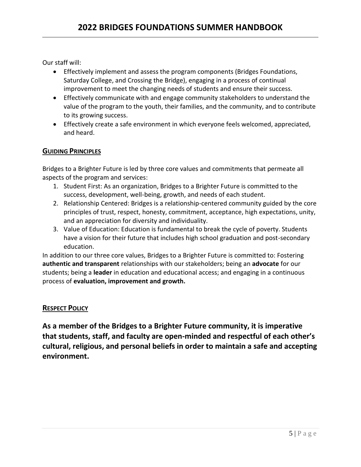Our staff will:

- Effectively implement and assess the program components (Bridges Foundations, Saturday College, and Crossing the Bridge), engaging in a process of continual improvement to meet the changing needs of students and ensure their success.
- Effectively communicate with and engage community stakeholders to understand the value of the program to the youth, their families, and the community, and to contribute to its growing success.
- Effectively create a safe environment in which everyone feels welcomed, appreciated, and heard.

## **GUIDING PRINCIPLES**

Bridges to a Brighter Future is led by three core values and commitments that permeate all aspects of the program and services:

- 1. Student First: As an organization, Bridges to a Brighter Future is committed to the success, development, well-being, growth, and needs of each student.
- 2. Relationship Centered: Bridges is a relationship-centered community guided by the core principles of trust, respect, honesty, commitment, acceptance, high expectations, unity, and an appreciation for diversity and individuality.
- 3. Value of Education: Education is fundamental to break the cycle of poverty. Students have a vision for their future that includes high school graduation and post-secondary education.

In addition to our three core values, Bridges to a Brighter Future is committed to: Fostering **authentic and transparent** relationships with our stakeholders; being an **advocate** for our students; being a **leader** in education and educational access; and engaging in a continuous process of **evaluation, improvement and growth.**

## **RESPECT POLICY**

**As a member of the Bridges to a Brighter Future community, it is imperative that students, staff, and faculty are open-minded and respectful of each other's cultural, religious, and personal beliefs in order to maintain a safe and accepting environment.**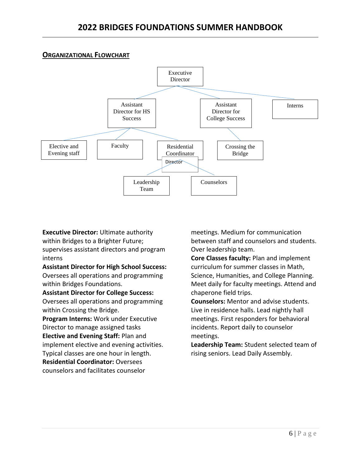## **ORGANIZATIONAL FLOWCHART**



## **Executive Director:** Ultimate authority within Bridges to a Brighter Future; supervises assistant directors and program interns

## **Assistant Director for High School Success:**  Oversees all operations and programming within Bridges Foundations.

#### **Assistant Director for College Success:**

Oversees all operations and programming within Crossing the Bridge.

**Program Interns:** Work under Executive Director to manage assigned tasks **Elective and Evening Staff:** Plan and

implement elective and evening activities.

Typical classes are one hour in length.

**Residential Coordinator:** Oversees

counselors and facilitates counselor

meetings. Medium for communication between staff and counselors and students. Over leadership team.

**Core Classes faculty:** Plan and implement curriculum for summer classes in Math, Science, Humanities, and College Planning. Meet daily for faculty meetings. Attend and chaperone field trips.

**Counselors:** Mentor and advise students. Live in residence halls. Lead nightly hall meetings. First responders for behavioral incidents. Report daily to counselor meetings.

**Leadership Team:** Student selected team of rising seniors. Lead Daily Assembly.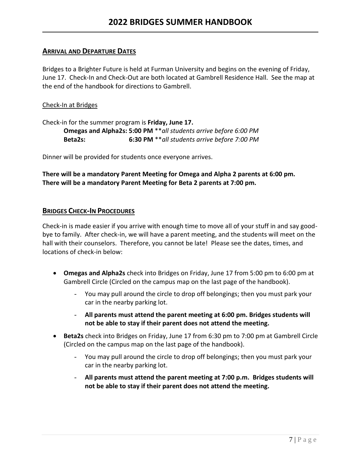#### **ARRIVAL AND DEPARTURE DATES**

Bridges to a Brighter Future is held at Furman University and begins on the evening of Friday, June 17. Check-In and Check-Out are both located at Gambrell Residence Hall. See the map at the end of the handbook for directions to Gambrell.

#### Check-In at Bridges

Check-in for the summer program is **Friday, June 17. Omegas and Alpha2s: 5:00 PM** \*\**all students arrive before 6:00 PM* **Beta2s: 6:30 PM** \*\**all students arrive before 7:00 PM*

Dinner will be provided for students once everyone arrives.

**There will be a mandatory Parent Meeting for Omega and Alpha 2 parents at 6:00 pm. There will be a mandatory Parent Meeting for Beta 2 parents at 7:00 pm.**

#### **BRIDGES CHECK-IN PROCEDURES**

Check-in is made easier if you arrive with enough time to move all of your stuff in and say goodbye to family. After check-in, we will have a parent meeting, and the students will meet on the hall with their counselors. Therefore, you cannot be late! Please see the dates, times, and locations of check-in below:

- **Omegas and Alpha2s** check into Bridges on Friday, June 17 from 5:00 pm to 6:00 pm at Gambrell Circle (Circled on the campus map on the last page of the handbook).
	- You may pull around the circle to drop off belongings; then you must park your car in the nearby parking lot.
	- **All parents must attend the parent meeting at 6:00 pm. Bridges students will not be able to stay if their parent does not attend the meeting.**
- **Beta2s** check into Bridges on Friday, June 17 from 6:30 pm to 7:00 pm at Gambrell Circle (Circled on the campus map on the last page of the handbook).
	- You may pull around the circle to drop off belongings; then you must park your car in the nearby parking lot.
	- **All parents must attend the parent meeting at 7:00 p.m. Bridges students will not be able to stay if their parent does not attend the meeting.**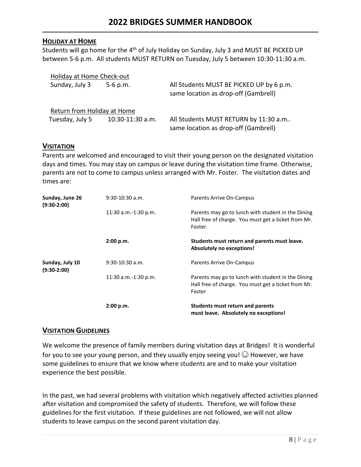## **HOLIDAY AT HOME**

Students will go home for the 4<sup>th</sup> of July Holiday on Sunday, July 3 and MUST BE PICKED UP between 5-6 p.m. All students MUST RETURN on Tuesday, July 5 between 10:30-11:30 a.m.

| Holiday at Home Check-out   |                  |                                                                                  |
|-----------------------------|------------------|----------------------------------------------------------------------------------|
| Sunday, July 3              | $5-6$ p.m.       | All Students MUST BE PICKED UP by 6 p.m.<br>same location as drop-off (Gambrell) |
| Return from Holiday at Home |                  |                                                                                  |
| Tuesday, July 5             | 10:30-11:30 a.m. | All Students MUST RETURN by 11:30 a.m<br>same location as drop-off (Gambrell)    |

## **VISITATION**

Parents are welcomed and encouraged to visit their young person on the designated visitation days and times. You may stay on campus or leave during the visitation time frame. Otherwise, parents are not to come to campus unless arranged with Mr. Foster. The visitation dates and times are:

| Sunday, June 26<br>$(9:30-2:00)$ | $9:30-10:30$ a.m.      | Parents Arrive On-Campus                                                                                             |  |  |
|----------------------------------|------------------------|----------------------------------------------------------------------------------------------------------------------|--|--|
|                                  | 11:30 a.m.-1:30 p.m.   | Parents may go to lunch with student in the Dining<br>Hall free of charge. You must get a ticket from Mr.<br>Foster. |  |  |
|                                  | 2:00 p.m.              | Students must return and parents must leave.<br>Absolutely no exceptions!                                            |  |  |
| Sunday, July 10<br>$(9:30-2:00)$ | $9:30-10:30$ a.m.      | <b>Parents Arrive On-Campus</b>                                                                                      |  |  |
|                                  | $11:30$ a.m.-1:30 p.m. | Parents may go to lunch with student in the Dining<br>Hall free of charge. You must get a ticket from Mr.<br>Foster  |  |  |
|                                  | 2:00 p.m.              | Students must return and parents<br>must leave. Absolutely no exceptions!                                            |  |  |

## **VISITATION GUIDELINES**

We welcome the presence of family members during visitation days at Bridges! It is wonderful for you to see your young person, and they usually enjoy seeing you!  $\odot$  However, we have some guidelines to ensure that we know where students are and to make your visitation experience the best possible.

In the past, we had several problems with visitation which negatively affected activities planned after visitation and compromised the safety of students. Therefore, we will follow these guidelines for the first visitation. If these guidelines are not followed, we will not allow students to leave campus on the second parent visitation day.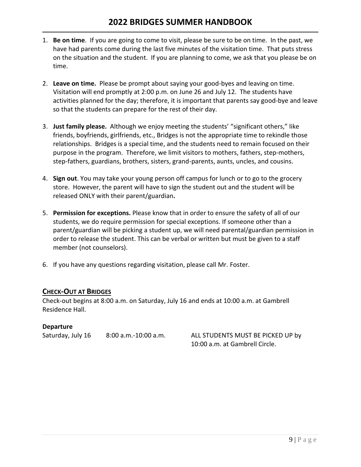# **2022 BRIDGES SUMMER HANDBOOK**

- 1. **Be on time**. If you are going to come to visit, please be sure to be on time. In the past, we have had parents come during the last five minutes of the visitation time. That puts stress on the situation and the student. If you are planning to come, we ask that you please be on time.
- 2. **Leave on time.** Please be prompt about saying your good-byes and leaving on time. Visitation will end promptly at 2:00 p.m. on June 26 and July 12. The students have activities planned for the day; therefore, it is important that parents say good-bye and leave so that the students can prepare for the rest of their day.
- 3. **Just family please.** Although we enjoy meeting the students' "significant others," like friends, boyfriends, girlfriends, etc., Bridges is not the appropriate time to rekindle those relationships. Bridges is a special time, and the students need to remain focused on their purpose in the program. Therefore, we limit visitors to mothers, fathers, step-mothers, step-fathers, guardians, brothers, sisters, grand-parents, aunts, uncles, and cousins.
- 4. **Sign out**. You may take your young person off campus for lunch or to go to the grocery store. However, the parent will have to sign the student out and the student will be released ONLY with their parent/guardian**.**
- 5. **Permission for exceptions.** Please know that in order to ensure the safety of all of our students, we do require permission for special exceptions. If someone other than a parent/guardian will be picking a student up, we will need parental/guardian permission in order to release the student. This can be verbal or written but must be given to a staff member (not counselors).
- 6. If you have any questions regarding visitation, please call Mr. Foster.

#### **CHECK-OUT AT BRIDGES**

Check-out begins at 8:00 a.m. on Saturday, July 16 and ends at 10:00 a.m. at Gambrell Residence Hall.

#### **Departure**

Saturday, July 16 8:00 a.m.-10:00 a.m. ALL STUDENTS MUST BE PICKED UP by

10:00 a.m. at Gambrell Circle.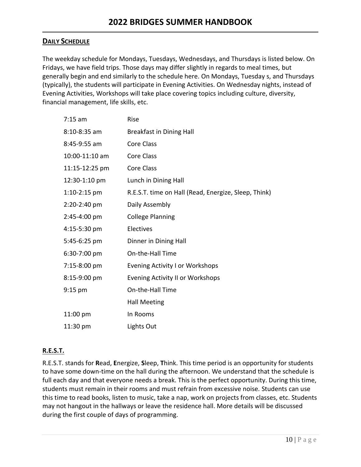## **DAILY SCHEDULE**

The weekday schedule for Mondays, Tuesdays, Wednesdays, and Thursdays is listed below. On Fridays, we have field trips. Those days may differ slightly in regards to meal times, but generally begin and end similarly to the schedule here. On Mondays, Tuesday s, and Thursdays (typically), the students will participate in Evening Activities. On Wednesday nights, instead of Evening Activities, Workshops will take place covering topics including culture, diversity, financial management, life skills, etc.

| $7:15$ am      | Rise                                                 |
|----------------|------------------------------------------------------|
| $8:10-8:35$ am | <b>Breakfast in Dining Hall</b>                      |
| 8:45-9:55 am   | <b>Core Class</b>                                    |
| 10:00-11:10 am | <b>Core Class</b>                                    |
| 11:15-12:25 pm | <b>Core Class</b>                                    |
| 12:30-1:10 pm  | Lunch in Dining Hall                                 |
| $1:10-2:15$ pm | R.E.S.T. time on Hall (Read, Energize, Sleep, Think) |
| 2:20-2:40 pm   | Daily Assembly                                       |
| 2:45-4:00 pm   | <b>College Planning</b>                              |
| 4:15-5:30 pm   | Electives                                            |
| 5:45-6:25 pm   | Dinner in Dining Hall                                |
| 6:30-7:00 pm   | On-the-Hall Time                                     |
| 7:15-8:00 pm   | <b>Evening Activity I or Workshops</b>               |
| 8:15-9:00 pm   | <b>Evening Activity II or Workshops</b>              |
| $9:15$ pm      | On-the-Hall Time                                     |
|                | <b>Hall Meeting</b>                                  |
| 11:00 pm       | In Rooms                                             |
| 11:30 pm       | Lights Out                                           |

## **R.E.S.T.**

R.E.S.T. stands for **R**ead, **E**nergize, **S**leep, **T**hink. This time period is an opportunity for students to have some down-time on the hall during the afternoon. We understand that the schedule is full each day and that everyone needs a break. This is the perfect opportunity. During this time, students must remain in their rooms and must refrain from excessive noise. Students can use this time to read books, listen to music, take a nap, work on projects from classes, etc. Students may not hangout in the hallways or leave the residence hall. More details will be discussed during the first couple of days of programming.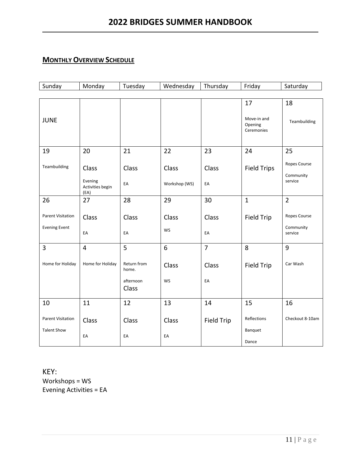## **MONTHLY OVERVIEW SCHEDULE**

| Sunday                                           | Monday                                       | Tuesday                                    | Wednesday              | Thursday          | Friday                                     | Saturday                             |
|--------------------------------------------------|----------------------------------------------|--------------------------------------------|------------------------|-------------------|--------------------------------------------|--------------------------------------|
|                                                  |                                              |                                            |                        |                   |                                            |                                      |
| <b>JUNE</b>                                      |                                              |                                            |                        |                   | 17<br>Move-in and<br>Opening<br>Ceremonies | 18<br>Teambuilding                   |
| 19                                               | 20                                           | 21                                         | 22                     | 23                | 24                                         | 25                                   |
| Teambuilding                                     | Class<br>Evening<br>Activities begin<br>(EA) | Class<br>EA                                | Class<br>Workshop (WS) | Class<br>EA       | <b>Field Trips</b>                         | Ropes Course<br>Community<br>service |
| 26                                               | 27                                           | 28                                         | 29                     | 30                | $\mathbf{1}$                               | $\overline{2}$                       |
| <b>Parent Visitation</b><br><b>Evening Event</b> | Class<br>EA                                  | Class<br>EA                                | Class<br><b>WS</b>     | Class<br>EA       | Field Trip                                 | Ropes Course<br>Community<br>service |
| 3                                                | $\overline{\mathbf{4}}$                      | 5                                          | 6                      | $\overline{7}$    | 8                                          | 9                                    |
| Home for Holiday                                 | Home for Holiday                             | Return from<br>home.<br>afternoon<br>Class | Class<br>WS            | Class<br>EA       | Field Trip                                 | Car Wash                             |
| 10                                               | 11                                           | 12                                         | 13                     | 14                | 15                                         | 16                                   |
| <b>Parent Visitation</b><br><b>Talent Show</b>   | Class<br>EA                                  | Class<br>EA                                | Class<br>EA            | <b>Field Trip</b> | Reflections<br>Banquet<br>Dance            | Checkout 8-10am                      |

KEY: Workshops = WS Evening Activities = EA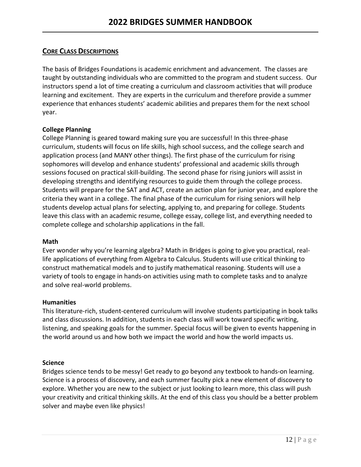## **CORE CLASS DESCRIPTIONS**

The basis of Bridges Foundations is academic enrichment and advancement. The classes are taught by outstanding individuals who are committed to the program and student success. Our instructors spend a lot of time creating a curriculum and classroom activities that will produce learning and excitement. They are experts in the curriculum and therefore provide a summer experience that enhances students' academic abilities and prepares them for the next school year.

#### **College Planning**

College Planning is geared toward making sure you are successful! In this three-phase curriculum, students will focus on life skills, high school success, and the college search and application process (and MANY other things). The first phase of the curriculum for rising sophomores will develop and enhance students' professional and academic skills through sessions focused on practical skill-building. The second phase for rising juniors will assist in developing strengths and identifying resources to guide them through the college process. Students will prepare for the SAT and ACT, create an action plan for junior year, and explore the criteria they want in a college. The final phase of the curriculum for rising seniors will help students develop actual plans for selecting, applying to, and preparing for college. Students leave this class with an academic resume, college essay, college list, and everything needed to complete college and scholarship applications in the fall.

#### **Math**

Ever wonder why you're learning algebra? Math in Bridges is going to give you practical, reallife applications of everything from Algebra to Calculus. Students will use critical thinking to construct mathematical models and to justify mathematical reasoning. Students will use a variety of tools to engage in hands-on activities using math to complete tasks and to analyze and solve real-world problems.

#### **Humanities**

This literature-rich, student-centered curriculum will involve students participating in book talks and class discussions. In addition, students in each class will work toward specific writing, listening, and speaking goals for the summer. Special focus will be given to events happening in the world around us and how both we impact the world and how the world impacts us.

#### **Science**

Bridges science tends to be messy! Get ready to go beyond any textbook to hands-on learning. Science is a process of discovery, and each summer faculty pick a new element of discovery to explore. Whether you are new to the subject or just looking to learn more, this class will push your creativity and critical thinking skills. At the end of this class you should be a better problem solver and maybe even like physics!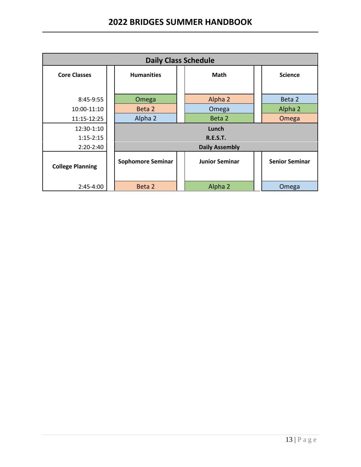| <b>Daily Class Schedule</b> |                          |                 |                       |  |                       |
|-----------------------------|--------------------------|-----------------|-----------------------|--|-----------------------|
| <b>Core Classes</b>         | <b>Humanities</b>        |                 | <b>Math</b>           |  | <b>Science</b>        |
| 8:45-9:55                   | Omega                    |                 | Alpha 2               |  | Beta 2                |
| 10:00-11:10                 | Beta 2                   |                 | Omega                 |  | Alpha 2               |
| 11:15-12:25                 | Alpha 2                  |                 | Beta 2                |  | Omega                 |
| 12:30-1:10                  |                          |                 | Lunch                 |  |                       |
| $1:15 - 2:15$               |                          | <b>R.E.S.T.</b> |                       |  |                       |
| $2:20-2:40$                 |                          |                 | <b>Daily Assembly</b> |  |                       |
| <b>College Planning</b>     | <b>Sophomore Seminar</b> |                 | <b>Junior Seminar</b> |  | <b>Senior Seminar</b> |
| $2:45-4:00$                 | Beta 2                   |                 | Alpha 2               |  | Omega                 |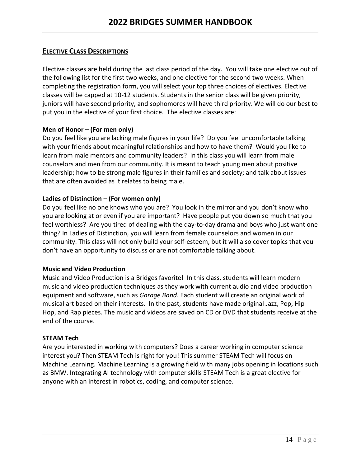## **ELECTIVE CLASS DESCRIPTIONS**

Elective classes are held during the last class period of the day. You will take one elective out of the following list for the first two weeks, and one elective for the second two weeks. When completing the registration form, you will select your top three choices of electives. Elective classes will be capped at 10-12 students. Students in the senior class will be given priority, juniors will have second priority, and sophomores will have third priority. We will do our best to put you in the elective of your first choice. The elective classes are:

#### **Men of Honor – (For men only)**

Do you feel like you are lacking male figures in your life? Do you feel uncomfortable talking with your friends about meaningful relationships and how to have them? Would you like to learn from male mentors and community leaders? In this class you will learn from male counselors and men from our community. It is meant to teach young men about positive leadership; how to be strong male figures in their families and society; and talk about issues that are often avoided as it relates to being male.

#### **Ladies of Distinction – (For women only)**

Do you feel like no one knows who you are? You look in the mirror and you don't know who you are looking at or even if you are important? Have people put you down so much that you feel worthless? Are you tired of dealing with the day-to-day drama and boys who just want one thing? In Ladies of Distinction, you will learn from female counselors and women in our community. This class will not only build your self-esteem, but it will also cover topics that you don't have an opportunity to discuss or are not comfortable talking about.

#### **Music and Video Production**

Music and Video Production is a Bridges favorite! In this class, students will learn modern music and video production techniques as they work with current audio and video production equipment and software, such as *Garage Band*. Each student will create an original work of musical art based on their interests. In the past, students have made original Jazz, Pop, Hip Hop, and Rap pieces. The music and videos are saved on CD or DVD that students receive at the end of the course.

#### **STEAM Tech**

Are you interested in working with computers? Does a career working in computer science interest you? Then STEAM Tech is right for you! This summer STEAM Tech will focus on Machine Learning. Machine Learning is a growing field with many jobs opening in locations such as BMW. Integrating AI technology with computer skills STEAM Tech is a great elective for anyone with an interest in robotics, coding, and computer science.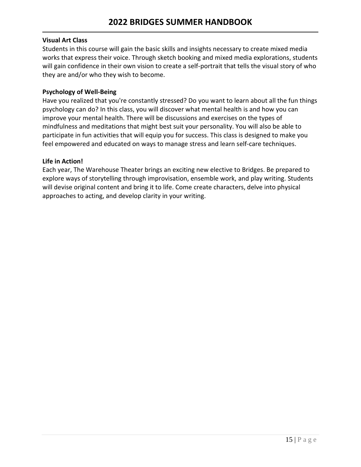#### **Visual Art Class**

Students in this course will gain the basic skills and insights necessary to create mixed media works that express their voice. Through sketch booking and mixed media explorations, students will gain confidence in their own vision to create a self-portrait that tells the visual story of who they are and/or who they wish to become.

#### **Psychology of Well-Being**

Have you realized that you're constantly stressed? Do you want to learn about all the fun things psychology can do? In this class, you will discover what mental health is and how you can improve your mental health. There will be discussions and exercises on the types of mindfulness and meditations that might best suit your personality. You will also be able to participate in fun activities that will equip you for success. This class is designed to make you feel empowered and educated on ways to manage stress and learn self-care techniques.

#### **Life in Action!**

Each year, The Warehouse Theater brings an exciting new elective to Bridges. Be prepared to explore ways of storytelling through improvisation, ensemble work, and play writing. Students will devise original content and bring it to life. Come create characters, delve into physical approaches to acting, and develop clarity in your writing.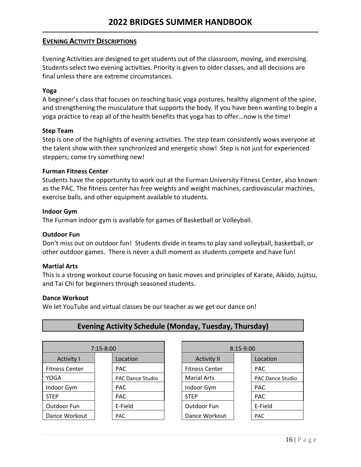## **EVENING ACTIVITY DESCRIPTIONS**

Evening Activities are designed to get students out of the classroom, moving, and exercising. Students select two evening activities. Priority is given to older classes, and all decisions are final unless there are extreme circumstances.

#### **Yoga**

A beginner's class that focuses on teaching basic yoga postures, healthy alignment of the spine, and strengthening the musculature that supports the body. If you have been wanting to begin a yoga practice to reap all of the health benefits that yoga has to offer...now is the time!

#### **Step Team**

Step is one of the highlights of evening activities. The step team consistently wows everyone at the talent show with their synchronized and energetic show! Step is not just for experienced steppers; come try something new!

#### **Furman Fitness Center**

Students have the opportunity to work out at the Furman University Fitness Center, also known as the PAC. The fitness center has free weights and weight machines, cardiovascular machines, exercise balls, and other equipment available to students.

#### **Indoor Gym**

The Furman indoor gym is available for games of Basketball or Volleyball.

#### **Outdoor Fun**

Don't miss out on outdoor fun! Students divide in teams to play sand volleyball, basketball, or other outdoor games. There is never a dull moment as students compete and have fun!

#### **Martial Arts**

This is a strong workout course focusing on basic moves and principles of Karate, Aikido, Jujitsu, and Tai Chi for beginners through seasoned students.

#### **Dance Workout**

We let YouTube and virtual classes be our teacher as we get our dance on!

| $7:15 - 8:00$         |                         | $8:15-9:00$           |  |                         |
|-----------------------|-------------------------|-----------------------|--|-------------------------|
| <b>Activity I</b>     | Location                | <b>Activity II</b>    |  | Location                |
| <b>Fitness Center</b> | <b>PAC</b>              | <b>Fitness Center</b> |  | <b>PAC</b>              |
| YOGA                  | <b>PAC Dance Studio</b> | <b>Marial Arts</b>    |  | <b>PAC Dance Studio</b> |
| Indoor Gym            | <b>PAC</b>              | Indoor Gym            |  | <b>PAC</b>              |
| <b>STEP</b>           | <b>PAC</b>              | <b>STEP</b>           |  | <b>PAC</b>              |
| Outdoor Fun           | E-Field                 | Outdoor Fun           |  | E-Field                 |
| Dance Workout         | <b>PAC</b>              | Dance Workout         |  | <b>PAC</b>              |

## **Evening Activity Schedule (Monday, Tuesday, Thursday)**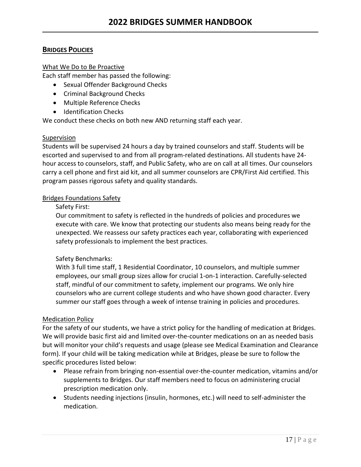## **BRIDGES POLICIES**

#### What We Do to Be Proactive

Each staff member has passed the following:

- Sexual Offender Background Checks
- Criminal Background Checks
- Multiple Reference Checks
- Identification Checks

We conduct these checks on both new AND returning staff each year.

#### Supervision

Students will be supervised 24 hours a day by trained counselors and staff. Students will be escorted and supervised to and from all program-related destinations. All students have 24 hour access to counselors, staff, and Public Safety, who are on call at all times. Our counselors carry a cell phone and first aid kit, and all summer counselors are CPR/First Aid certified. This program passes rigorous safety and quality standards.

#### Bridges Foundations Safety

#### Safety First:

Our commitment to safety is reflected in the hundreds of policies and procedures we execute with care. We know that protecting our students also means being ready for the unexpected. We reassess our safety practices each year, collaborating with experienced safety professionals to implement the best practices.

#### Safety Benchmarks:

With 3 full time staff, 1 Residential Coordinator, 10 counselors, and multiple summer employees, our small group sizes allow for crucial 1-on-1 interaction. Carefully-selected staff, mindful of our commitment to safety, implement our programs. We only hire counselors who are current college students and who have shown good character. Every summer our staff goes through a week of intense training in policies and procedures.

#### Medication Policy

For the safety of our students, we have a strict policy for the handling of medication at Bridges. We will provide basic first aid and limited over-the-counter medications on an as needed basis but will monitor your child's requests and usage (please see Medical Examination and Clearance form). If your child will be taking medication while at Bridges, please be sure to follow the specific procedures listed below:

- Please refrain from bringing non-essential over-the-counter medication, vitamins and/or supplements to Bridges. Our staff members need to focus on administering crucial prescription medication only.
- Students needing injections (insulin, hormones, etc.) will need to self-administer the medication.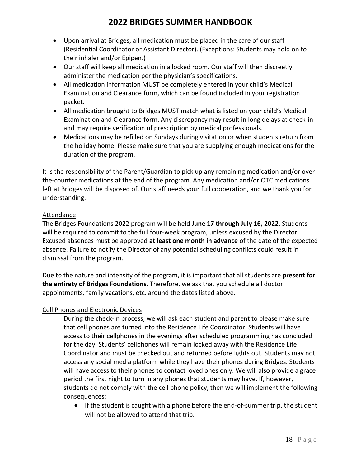- Upon arrival at Bridges, all medication must be placed in the care of our staff (Residential Coordinator or Assistant Director). (Exceptions: Students may hold on to their inhaler and/or Epipen.)
- Our staff will keep all medication in a locked room. Our staff will then discreetly administer the medication per the physician's specifications.
- All medication information MUST be completely entered in your child's Medical Examination and Clearance form, which can be found included in your registration packet.
- All medication brought to Bridges MUST match what is listed on your child's Medical Examination and Clearance form. Any discrepancy may result in long delays at check-in and may require verification of prescription by medical professionals.
- Medications may be refilled on Sundays during visitation or when students return from the holiday home. Please make sure that you are supplying enough medications for the duration of the program.

It is the responsibility of the Parent/Guardian to pick up any remaining medication and/or overthe-counter medications at the end of the program. Any medication and/or OTC medications left at Bridges will be disposed of. Our staff needs your full cooperation, and we thank you for understanding.

## **Attendance**

The Bridges Foundations 2022 program will be held **June 17 through July 16, 2022**. Students will be required to commit to the full four-week program, unless excused by the Director. Excused absences must be approved **at least one month in advance** of the date of the expected absence. Failure to notify the Director of any potential scheduling conflicts could result in dismissal from the program.

Due to the nature and intensity of the program, it is important that all students are **present for the entirety of Bridges Foundations**. Therefore, we ask that you schedule all doctor appointments, family vacations, etc. around the dates listed above.

## Cell Phones and Electronic Devices

During the check-in process, we will ask each student and parent to please make sure that cell phones are turned into the Residence Life Coordinator. Students will have access to their cellphones in the evenings after scheduled programming has concluded for the day. Students' cellphones will remain locked away with the Residence Life Coordinator and must be checked out and returned before lights out. Students may not access any social media platform while they have their phones during Bridges. Students will have access to their phones to contact loved ones only. We will also provide a grace period the first night to turn in any phones that students may have. If, however, students do not comply with the cell phone policy, then we will implement the following consequences:

• If the student is caught with a phone before the end-of-summer trip, the student will not be allowed to attend that trip.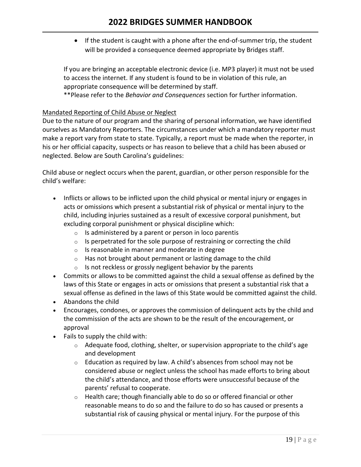• If the student is caught with a phone after the end-of-summer trip, the student will be provided a consequence deemed appropriate by Bridges staff.

If you are bringing an acceptable electronic device (i.e. MP3 player) it must not be used to access the internet. If any student is found to be in violation of this rule, an appropriate consequence will be determined by staff.

\*\*Please refer to the *Behavior and Consequences* section for further information.

## Mandated Reporting of Child Abuse or Neglect

Due to the nature of our program and the sharing of personal information, we have identified ourselves as Mandatory Reporters. The circumstances under which a mandatory reporter must make a report vary from state to state. Typically, a report must be made when the reporter, in his or her official capacity, suspects or has reason to believe that a child has been abused or neglected. Below are South Carolina's guidelines:

Child abuse or neglect occurs when the parent, guardian, or other person responsible for the child's welfare:

- Inflicts or allows to be inflicted upon the child physical or mental injury or engages in acts or omissions which present a substantial risk of physical or mental injury to the child, including injuries sustained as a result of excessive corporal punishment, but excluding corporal punishment or physical discipline which:
	- $\circ$  Is administered by a parent or person in loco parentis
	- $\circ$  Is perpetrated for the sole purpose of restraining or correcting the child
	- o Is reasonable in manner and moderate in degree
	- $\circ$  Has not brought about permanent or lasting damage to the child
	- $\circ$  Is not reckless or grossly negligent behavior by the parents
- Commits or allows to be committed against the child a sexual offense as defined by the laws of this State or engages in acts or omissions that present a substantial risk that a sexual offense as defined in the laws of this State would be committed against the child.
- Abandons the child
- Encourages, condones, or approves the commission of delinquent acts by the child and the commission of the acts are shown to be the result of the encouragement, or approval
- Fails to supply the child with:
	- $\circ$  Adequate food, clothing, shelter, or supervision appropriate to the child's age and development
	- $\circ$  Education as required by law. A child's absences from school may not be considered abuse or neglect unless the school has made efforts to bring about the child's attendance, and those efforts were unsuccessful because of the parents' refusal to cooperate.
	- $\circ$  Health care; though financially able to do so or offered financial or other reasonable means to do so and the failure to do so has caused or presents a substantial risk of causing physical or mental injury. For the purpose of this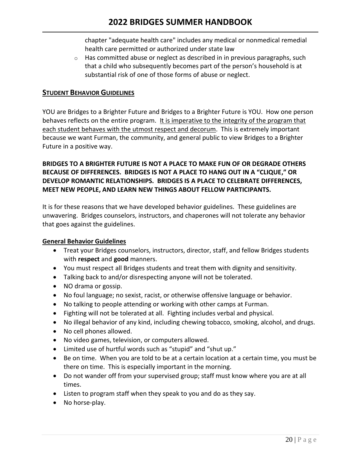chapter "adequate health care" includes any medical or nonmedical remedial health care permitted or authorized under state law

 $\circ$  Has committed abuse or neglect as described in in previous paragraphs, such that a child who subsequently becomes part of the person's household is at substantial risk of one of those forms of abuse or neglect.

## **STUDENT BEHAVIOR GUIDELINES**

YOU are Bridges to a Brighter Future and Bridges to a Brighter Future is YOU. How one person behaves reflects on the entire program. It is imperative to the integrity of the program that each student behaves with the utmost respect and decorum. This is extremely important because we want Furman, the community, and general public to view Bridges to a Brighter Future in a positive way.

## **BRIDGES TO A BRIGHTER FUTURE IS NOT A PLACE TO MAKE FUN OF OR DEGRADE OTHERS BECAUSE OF DIFFERENCES. BRIDGES IS NOT A PLACE TO HANG OUT IN A "CLIQUE," OR DEVELOP ROMANTIC RELATIONSHIPS. BRIDGES IS A PLACE TO CELEBRATE DIFFERENCES, MEET NEW PEOPLE, AND LEARN NEW THINGS ABOUT FELLOW PARTICIPANTS.**

It is for these reasons that we have developed behavior guidelines. These guidelines are unwavering. Bridges counselors, instructors, and chaperones will not tolerate any behavior that goes against the guidelines.

#### **General Behavior Guidelines**

- Treat your Bridges counselors, instructors, director, staff, and fellow Bridges students with **respect** and **good** manners.
- You must respect all Bridges students and treat them with dignity and sensitivity.
- Talking back to and/or disrespecting anyone will not be tolerated.
- NO drama or gossip.
- No foul language; no sexist, racist, or otherwise offensive language or behavior.
- No talking to people attending or working with other camps at Furman.
- Fighting will not be tolerated at all. Fighting includes verbal and physical.
- No illegal behavior of any kind, including chewing tobacco, smoking, alcohol, and drugs.
- No cell phones allowed.
- No video games, television, or computers allowed.
- Limited use of hurtful words such as "stupid" and "shut up."
- Be on time. When you are told to be at a certain location at a certain time, you must be there on time. This is especially important in the morning.
- Do not wander off from your supervised group; staff must know where you are at all times.
- Listen to program staff when they speak to you and do as they say.
- No horse-play.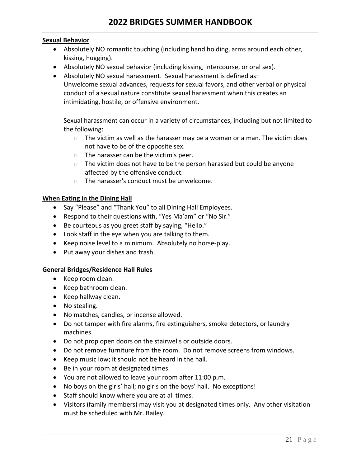#### **Sexual Behavior**

- Absolutely NO romantic touching (including hand holding, arms around each other, kissing, hugging).
- Absolutely NO sexual behavior (including kissing, intercourse, or oral sex).
- Absolutely NO sexual harassment. Sexual harassment is defined as: Unwelcome sexual advances, requests for sexual favors, and other verbal or physical conduct of a sexual nature constitute sexual harassment when this creates an intimidating, hostile, or offensive environment.

Sexual harassment can occur in a variety of circumstances, including but not limited to the following:

- $\Box$  The victim as well as the harasser may be a woman or a man. The victim does not have to be of the opposite sex.
- $\Box$  The harasser can be the victim's peer.
- $\Box$  The victim does not have to be the person harassed but could be anyone affected by the offensive conduct.
- $\Box$  The harasser's conduct must be unwelcome.

#### **When Eating in the Dining Hall**

- Say "Please" and "Thank You" to all Dining Hall Employees.
- Respond to their questions with, "Yes Ma'am" or "No Sir."
- Be courteous as you greet staff by saying, "Hello."
- Look staff in the eye when you are talking to them.
- Keep noise level to a minimum. Absolutely no horse-play.
- Put away your dishes and trash.

#### **General Bridges/Residence Hall Rules**

- Keep room clean.
- Keep bathroom clean.
- Keep hallway clean.
- No stealing.
- No matches, candles, or incense allowed.
- Do not tamper with fire alarms, fire extinguishers, smoke detectors, or laundry machines.
- Do not prop open doors on the stairwells or outside doors.
- Do not remove furniture from the room. Do not remove screens from windows.
- Keep music low; it should not be heard in the hall.
- Be in your room at designated times.
- You are not allowed to leave your room after 11:00 p.m.
- No boys on the girls' hall; no girls on the boys' hall. No exceptions!
- Staff should know where you are at all times.
- Visitors (family members) may visit you at designated times only. Any other visitation must be scheduled with Mr. Bailey.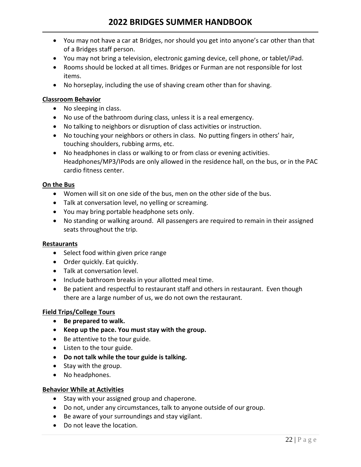- You may not have a car at Bridges, nor should you get into anyone's car other than that of a Bridges staff person.
- You may not bring a television, electronic gaming device, cell phone, or tablet/iPad.
- Rooms should be locked at all times. Bridges or Furman are not responsible for lost items.
- No horseplay, including the use of shaving cream other than for shaving.

#### **Classroom Behavior**

- No sleeping in class.
- No use of the bathroom during class, unless it is a real emergency.
- No talking to neighbors or disruption of class activities or instruction.
- No touching your neighbors or others in class. No putting fingers in others' hair, touching shoulders, rubbing arms, etc.
- No headphones in class or walking to or from class or evening activities. Headphones/MP3/IPods are only allowed in the residence hall, on the bus, or in the PAC cardio fitness center.

#### **On the Bus**

- Women will sit on one side of the bus, men on the other side of the bus.
- Talk at conversation level, no yelling or screaming.
- You may bring portable headphone sets only.
- No standing or walking around. All passengers are required to remain in their assigned seats throughout the trip.

#### **Restaurants**

- Select food within given price range
- Order quickly. Eat quickly.
- Talk at conversation level.
- Include bathroom breaks in your allotted meal time.
- Be patient and respectful to restaurant staff and others in restaurant. Even though there are a large number of us, we do not own the restaurant.

#### **Field Trips/College Tours**

- **Be prepared to walk.**
- **Keep up the pace. You must stay with the group.**
- Be attentive to the tour guide.
- Listen to the tour guide.
- **Do not talk while the tour guide is talking.**
- Stay with the group.
- No headphones.

#### **Behavior While at Activities**

- Stay with your assigned group and chaperone.
- Do not, under any circumstances, talk to anyone outside of our group.
- Be aware of your surroundings and stay vigilant.
- Do not leave the location.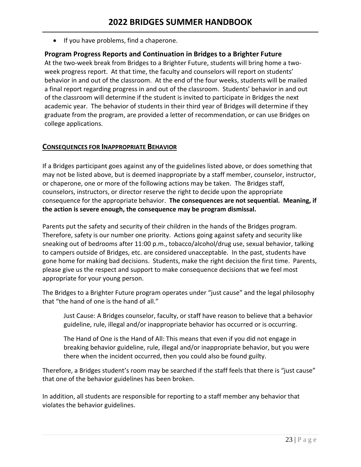• If you have problems, find a chaperone.

#### **Program Progress Reports and Continuation in Bridges to a Brighter Future**

At the two-week break from Bridges to a Brighter Future, students will bring home a twoweek progress report. At that time, the faculty and counselors will report on students' behavior in and out of the classroom. At the end of the four weeks, students will be mailed a final report regarding progress in and out of the classroom. Students' behavior in and out of the classroom will determine if the student is invited to participate in Bridges the next academic year. The behavior of students in their third year of Bridges will determine if they graduate from the program, are provided a letter of recommendation, or can use Bridges on college applications.

#### **CONSEQUENCES FOR INAPPROPRIATE BEHAVIOR**

If a Bridges participant goes against any of the guidelines listed above, or does something that may not be listed above, but is deemed inappropriate by a staff member, counselor, instructor, or chaperone, one or more of the following actions may be taken. The Bridges staff, counselors, instructors, or director reserve the right to decide upon the appropriate consequence for the appropriate behavior. **The consequences are not sequential. Meaning, if the action is severe enough, the consequence may be program dismissal.**

Parents put the safety and security of their children in the hands of the Bridges program. Therefore, safety is our number one priority. Actions going against safety and security like sneaking out of bedrooms after 11:00 p.m., tobacco/alcohol/drug use, sexual behavior, talking to campers outside of Bridges, etc. are considered unacceptable. In the past, students have gone home for making bad decisions. Students, make the right decision the first time. Parents, please give us the respect and support to make consequence decisions that we feel most appropriate for your young person.

The Bridges to a Brighter Future program operates under "just cause" and the legal philosophy that "the hand of one is the hand of all."

Just Cause: A Bridges counselor, faculty, or staff have reason to believe that a behavior guideline, rule, illegal and/or inappropriate behavior has occurred or is occurring.

The Hand of One is the Hand of All: This means that even if you did not engage in breaking behavior guideline, rule, illegal and/or inappropriate behavior, but you were there when the incident occurred, then you could also be found guilty.

Therefore, a Bridges student's room may be searched if the staff feels that there is "just cause" that one of the behavior guidelines has been broken.

In addition, all students are responsible for reporting to a staff member any behavior that violates the behavior guidelines.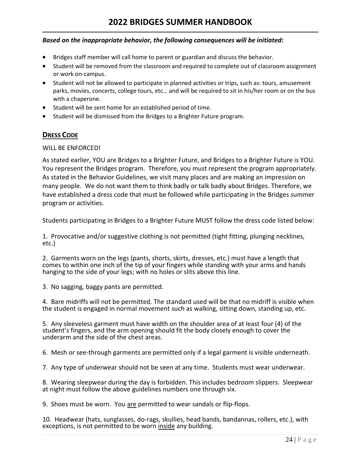#### *Based on the inappropriate behavior, the following consequences will be initiated:*

- Bridges staff member will call home to parent or guardian and discuss the behavior.
- Student will be removed from the classroom and required to complete out of classroom assignment or work on-campus.
- Student will not be allowed to participate in planned activities or trips, such as: tours, amusement parks, movies, concerts, college tours, etc… and will be required to sit in his/her room or on the bus with a chaperone.
- Student will be sent home for an established period of time.
- Student will be dismissed from the Bridges to a Brighter Future program.

## **DRESS CODE**

#### WILL BE ENFORCED!

As stated earlier, YOU are Bridges to a Brighter Future, and Bridges to a Brighter Future is YOU. You represent the Bridges program. Therefore, you must represent the program appropriately. As stated in the Behavior Guidelines, we visit many places and are making an impression on many people. We do not want them to think badly or talk badly about Bridges. Therefore, we have established a dress code that must be followed while participating in the Bridges summer program or activities.

Students participating in Bridges to a Brighter Future MUST follow the dress code listed below:

1. Provocative and/or suggestive clothing is not permitted (tight fitting, plunging necklines, etc.)

2. Garments worn on the legs (pants, shorts, skirts, dresses, etc.) must have a length that comes to within one inch of the tip of your fingers while standing with your arms and hands hanging to the side of your legs; with no holes or slits above this line.

3. No sagging, baggy pants are permitted.

4. Bare midriffs will not be permitted. The standard used will be that no midriff is visible when the student is engaged in normal movement such as walking, sitting down, standing up, etc.

5. Any sleeveless garment must have width on the shoulder area of at least four (4) of the student's fingers, and the arm opening should fit the body closely enough to cover the underarm and the side of the chest areas.

6. Mesh or see-through garments are permitted only if a legal garment is visible underneath.

7. Any type of underwear should not be seen at any time. Students must wear underwear.

8. Wearing sleepwear during the day is forbidden. This includes bedroom slippers. Sleepwear at night must follow the above guidelines numbers one through six.

9. Shoes must be worn. You are permitted to wear sandals or flip-flops.

10. Headwear (hats, sunglasses, do-rags, skullies, head bands, bandannas, rollers, etc.), with exceptions, is not permitted to be worn inside any building.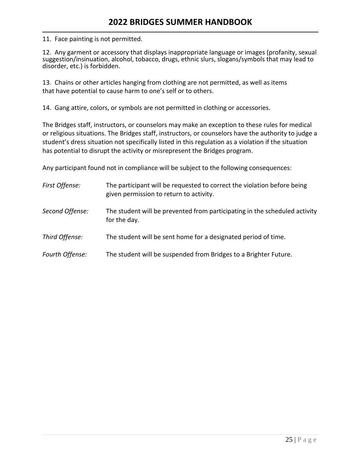11. Face painting is not permitted.

12. Any garment or accessory that displays inappropriate language or images (profanity, sexual suggestion/insinuation, alcohol, tobacco, drugs, ethnic slurs, slogans/symbols that may lead to disorder, etc.) is forbidden.

13. Chains or other articles hanging from clothing are not permitted, as well as items that have potential to cause harm to one's self or to others.

14. Gang attire, colors, or symbols are not permitted in clothing or accessories.

The Bridges staff, instructors, or counselors may make an exception to these rules for medical or religious situations. The Bridges staff, instructors, or counselors have the authority to judge a student's dress situation not specifically listed in this regulation as a violation if the situation has potential to disrupt the activity or misrepresent the Bridges program.

Any participant found not in compliance will be subject to the following consequences:

| First Offense:  | The participant will be requested to correct the violation before being<br>given permission to return to activity. |
|-----------------|--------------------------------------------------------------------------------------------------------------------|
| Second Offense: | The student will be prevented from participating in the scheduled activity<br>for the day.                         |
| Third Offense:  | The student will be sent home for a designated period of time.                                                     |
| Fourth Offense: | The student will be suspended from Bridges to a Brighter Future.                                                   |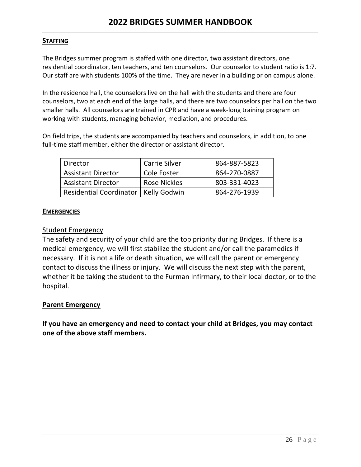## **STAFFING**

The Bridges summer program is staffed with one director, two assistant directors, one residential coordinator, ten teachers, and ten counselors. Our counselor to student ratio is 1:7. Our staff are with students 100% of the time. They are never in a building or on campus alone.

In the residence hall, the counselors live on the hall with the students and there are four counselors, two at each end of the large halls, and there are two counselors per hall on the two smaller halls. All counselors are trained in CPR and have a week-long training program on working with students, managing behavior, mediation, and procedures.

On field trips, the students are accompanied by teachers and counselors, in addition, to one full-time staff member, either the director or assistant director.

| Director                               | <b>Carrie Silver</b> | 864-887-5823 |
|----------------------------------------|----------------------|--------------|
| <b>Assistant Director</b>              | Cole Foster          | 864-270-0887 |
| <b>Assistant Director</b>              | <b>Rose Nickles</b>  | 803-331-4023 |
| Residential Coordinator   Kelly Godwin |                      | 864-276-1939 |

## **EMERGENCIES**

## Student Emergency

The safety and security of your child are the top priority during Bridges. If there is a medical emergency, we will first stabilize the student and/or call the paramedics if necessary. If it is not a life or death situation, we will call the parent or emergency contact to discuss the illness or injury. We will discuss the next step with the parent, whether it be taking the student to the Furman Infirmary, to their local doctor, or to the hospital.

## **Parent Emergency**

**If you have an emergency and need to contact your child at Bridges, you may contact one of the above staff members.**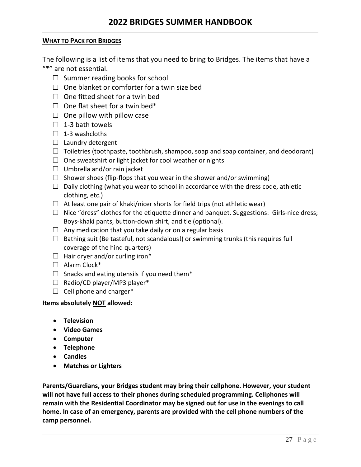## **WHAT TO PACK FOR BRIDGES**

The following is a list of items that you need to bring to Bridges. The items that have a "\*" are not essential.

- $\Box$  Summer reading books for school
- $\Box$  One blanket or comforter for a twin size bed
- $\Box$  One fitted sheet for a twin bed
- $\Box$  One flat sheet for a twin bed\*
- $\Box$  One pillow with pillow case
- $\Box$  1-3 bath towels
- $\Box$  1-3 washcloths
- □ Laundry detergent
- $\Box$  Toiletries (toothpaste, toothbrush, shampoo, soap and soap container, and deodorant)
- $\Box$  One sweatshirt or light jacket for cool weather or nights
- $\Box$  Umbrella and/or rain jacket
- $\Box$  Shower shoes (flip-flops that you wear in the shower and/or swimming)
- $\Box$  Daily clothing (what you wear to school in accordance with the dress code, athletic clothing, etc.)
- $\Box$  At least one pair of khaki/nicer shorts for field trips (not athletic wear)
- $\Box$  Nice "dress" clothes for the etiquette dinner and banquet. Suggestions: Girls-nice dress; Boys-khaki pants, button-down shirt, and tie (optional).
- $\Box$  Any medication that you take daily or on a regular basis
- $\square$  Bathing suit (Be tasteful, not scandalous!) or swimming trunks (this requires full coverage of the hind quarters)
- $\Box$  Hair dryer and/or curling iron\*
- □ Alarm Clock\*
- $\Box$  Snacks and eating utensils if you need them\*
- $\Box$  Radio/CD player/MP3 player\*
- $\Box$  Cell phone and charger\*

## **Items absolutely NOT allowed:**

- **Television**
- **Video Games**
- **Computer**
- **Telephone**
- **Candles**
- **Matches or Lighters**

**Parents/Guardians, your Bridges student may bring their cellphone. However, your student will not have full access to their phones during scheduled programming. Cellphones will remain with the Residential Coordinator may be signed out for use in the evenings to call home. In case of an emergency, parents are provided with the cell phone numbers of the camp personnel.**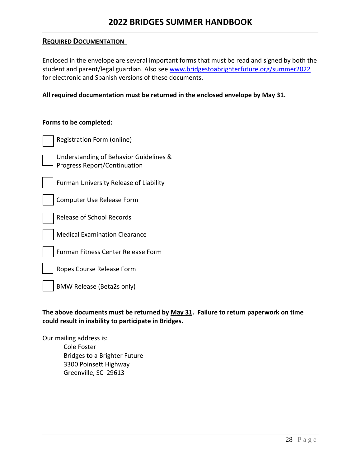### **REQUIRED DOCUMENTATION**

Enclosed in the envelope are several important forms that must be read and signed by both the student and parent/legal guardian. Also se[e www.bridgestoabrighterfuture.org/summer2022](http://www.bridgestoabrighterfuture.org/summer2022) for electronic and Spanish versions of these documents.

**All required documentation must be returned in the enclosed envelope by May 31.**

#### **Forms to be completed:**

| Registration Form (online)                                                    |
|-------------------------------------------------------------------------------|
| Understanding of Behavior Guidelines &<br><b>Progress Report/Continuation</b> |
| Furman University Release of Liability                                        |
| Computer Use Release Form                                                     |
| Release of School Records                                                     |
| <b>Medical Examination Clearance</b>                                          |
| Furman Fitness Center Release Form                                            |
| Ropes Course Release Form                                                     |
| BMW Release (Beta2s only)                                                     |

**The above documents must be returned by May 31. Failure to return paperwork on time could result in inability to participate in Bridges.** 

Our mailing address is:

Cole Foster Bridges to a Brighter Future 3300 Poinsett Highway Greenville, SC 29613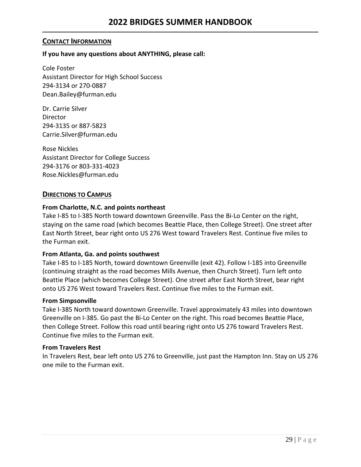## **CONTACT INFORMATION**

## **If you have any questions about ANYTHING, please call:**

Cole Foster Assistant Director for High School Success 294-3134 or 270-0887 Dean.Bailey@furman.edu

Dr. Carrie Silver Director 294-3135 or 887-5823 Carrie.Silver@furman.edu

Rose Nickles Assistant Director for College Success 294-3176 or 803-331-4023 Rose.Nickles@furman.edu

## **DIRECTIONS TO CAMPUS**

## **From Charlotte, N.C. and points northeast**

Take I-85 to I-385 North toward downtown Greenville. Pass the Bi-Lo Center on the right, staying on the same road (which becomes Beattie Place, then College Street). One street after East North Street, bear right onto US 276 West toward Travelers Rest. Continue five miles to the Furman exit.

#### **From Atlanta, Ga. and points southwest**

Take I-85 to I-185 North, toward downtown Greenville (exit 42). Follow I-185 into Greenville (continuing straight as the road becomes Mills Avenue, then Church Street). Turn left onto Beattie Place (which becomes College Street). One street after East North Street, bear right onto US 276 West toward Travelers Rest. Continue five miles to the Furman exit.

#### **From Simpsonville**

Take I-385 North toward downtown Greenville. Travel approximately 43 miles into downtown Greenville on I-385. Go past the Bi-Lo Center on the right. This road becomes Beattie Place, then College Street. Follow this road until bearing right onto US 276 toward Travelers Rest. Continue five miles to the Furman exit.

#### **From Travelers Rest**

In Travelers Rest, bear left onto US 276 to Greenville, just past the Hampton Inn. Stay on US 276 one mile to the Furman exit.